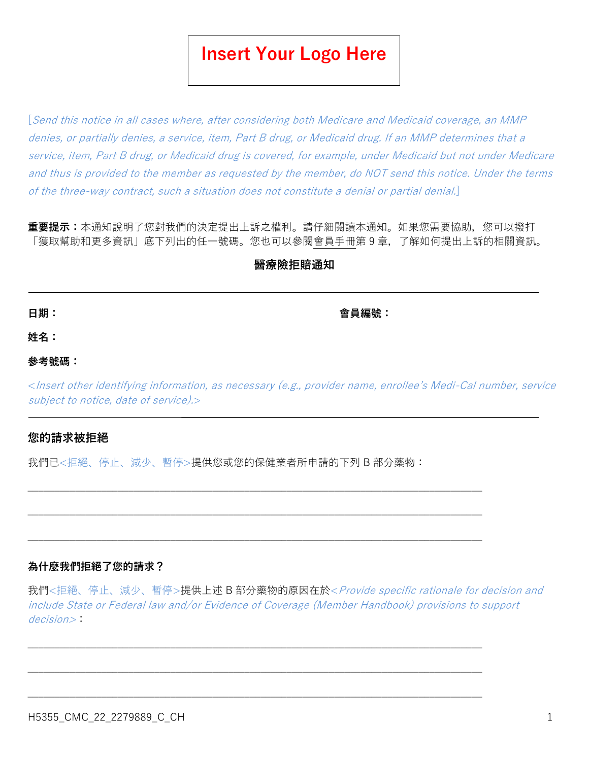# **Insert Your Logo Here**

[Send this notice in all cases where, after considering both Medicare and Medicaid coverage, an MMP denies, or partially denies, a service, item, Part B drug, or Medicaid drug. If an MMP determines that a service, item, Part B drug, or Medicaid drug is covered, for example, under Medicaid but not under Medicare and thus is provided to the member as requested by the member, do NOT send this notice. Under the terms of the three-way contract, such a situation does not constitute a denial or partial denial.]

**重要提示:**本通知說明了您對我們的決定提出上訴之權利。請仔細閱讀本通知。如果您需要協助,您可以撥打 「獲取幫助和更多資訊」底下列出的任一號碼。您也可以參閱會員手冊第 9 章,了解如何提出上訴的相關資訊。

## **醫療險拒賠通知**

**日期: 會員編號:**

**姓名:**

#### **參考號碼:**

<Insert other identifying information, as necessary (e.g., provider name, enrollee's Medi-Cal number, service subject to notice, date of service).

## **您的請求被拒絕**

我們已<拒絕、停止、減少、暫停>提供您或您的保健業者所申請的下列 B 部分藥物:

 $\_$  , and the set of the set of the set of the set of the set of the set of the set of the set of the set of the set of the set of the set of the set of the set of the set of the set of the set of the set of the set of th

 $\_$  , and the set of the set of the set of the set of the set of the set of the set of the set of the set of the set of the set of the set of the set of the set of the set of the set of the set of the set of the set of th

 $\_$  , and the set of the set of the set of the set of the set of the set of the set of the set of the set of the set of the set of the set of the set of the set of the set of the set of the set of the set of the set of th

 $\_$  , and the set of the set of the set of the set of the set of the set of the set of the set of the set of the set of the set of the set of the set of the set of the set of the set of the set of the set of the set of th

## **為什麼我們拒絕了您的請求?**

我們<拒絕、停止、減少、暫停>提供上述 B 部分藥物的原因在於< Provide specific rationale for decision and include State or Federal law and/or Evidence of Coverage (Member Handbook) provisions to support decision>: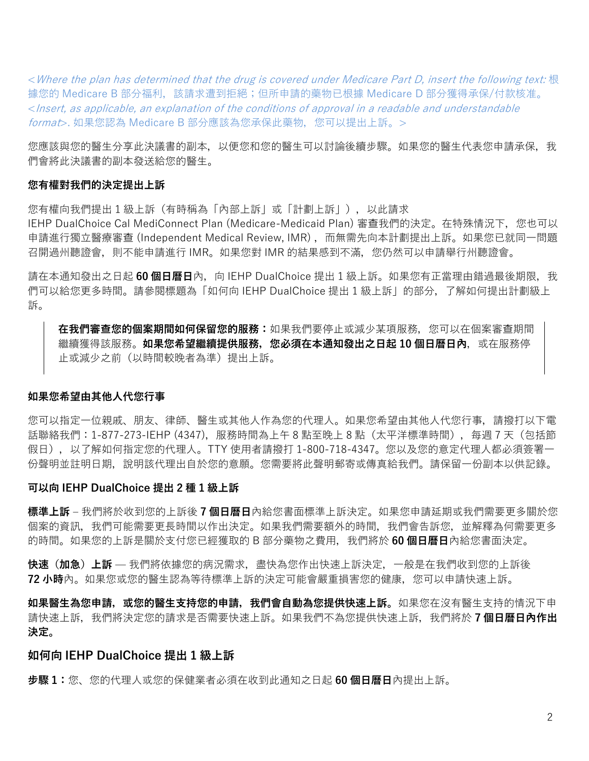<Where the plan has determined that the drug is covered under Medicare Part D, insert the following text: 根 據您的 Medicare B 部分福利, 該請求遭到拒絕;但所申請的藥物已根據 Medicare D 部分獲得承保/付款核准。 <Insert, as applicable, an explanation of the conditions of approval in a readable and understandable format>. 如果您認為 Medicare B 部分應該為您承保此藥物, 您可以提出上訴。>

您應該與您的醫生分享此決議書的副本,以便您和您的醫生可以討論後續步驟。如果您的醫生代表您申請承保,我 們會將此決議書的副本發送給您的醫生。

#### **您有權對我們的決定提出上訴**

您有權向我們提出 1 級上訴(有時稱為「內部上訴」或「計劃上訴」),以此請求

IEHP DualChoice Cal MediConnect Plan (Medicare-Medicaid Plan) 審查我們的決定。在特殊情況下,您也可以 申請進行獨立醫療審查 (Independent Medical Review, IMR), 而無需先向本計劃提出上訴。如果您已就同一問題 召開過州聽證會,則不能申請進行 IMR。如果您對 IMR 的結果感到不滿,您仍然可以申請舉行州聽證會。

請在本通知發出之日起 60 個日曆日內,向 IEHP DualChoice 提出 1 級上訴。如果您有正當理由錯過最後期限,我 們可以給您更多時間。請參閱標題為「如何向 IEHP DualChoice 提出 1 級上訴」的部分,了解如何提出計劃級上 訴。

**在我們審查您的個案期間如何保留您的服務:**如果我們要停止或減少某項服務,您可以在個案審查期間 繼續獲得該服務。**如果您希望繼續提供服務,您必須在本通知發出之日起 10 個日曆日內**,或在服務停 止或減少之前(以時間較晚者為準)提出上訴。

### **如果您希望由其他人代您行事**

您可以指定一位親戚、朋友、律師、醫生或其他人作為您的代理人。如果您希望由其他人代您行事,請撥打以下電 話聯絡我們:1-877-273-IEHP (4347),服務時間為上午 8 點至晚上 8 點 (太平洋標準時間),每週 7 天 (包括節 假日),以了解如何指定您的代理人。TTY 使用者請撥打 1-800-718-4347。您以及您的意定代理人都必須簽署一 份聲明並註明日期,說明該代理出自於您的意願。您需要將此聲明郵寄或傳真給我們。請保留一份副本以供記錄。

#### **可以向 IEHP DualChoice 提出 2 種 1 級上訴**

**標準上訴** – 我們將於收到您的上訴後 **7 個日曆日**內給您書面標準上訴決定。如果您申請延期或我們需要更多關於您 個案的資訊,我們可能需要更長時間以作出決定。如果我們需要額外的時間,我們會告訴您,並解釋為何需要更多 的時間。如果您的上訴是關於支付您已經獲取的 B 部分藥物之費用,我們將於 **60 個日曆日**內給您書面決定。

**快速(加急)上訴** — 我們將依據您的病況需求,盡快為您作出快速上訴決定,一般是在我們收到您的上訴後 **72 小時**內。如果您或您的醫生認為等待標準上訴的決定可能會嚴重損害您的健康,您可以申請快速上訴。

**如果醫生為您申請,或您的醫生支持您的申請,我們會自動為您提供快速上訴。**如果您在沒有醫生支持的情況下申 請快速上訴,我們將決定您的請求是否需要快速上訴。如果我們不為您提供快速上訴,我們將於 **7 個日曆日內作出 決定。**

#### **如何向 IEHP DualChoice 提出 1 級上訴**

**步驟 1:**您、您的代理人或您的保健業者必須在收到此通知之日起 **60 個日曆日**內提出上訴。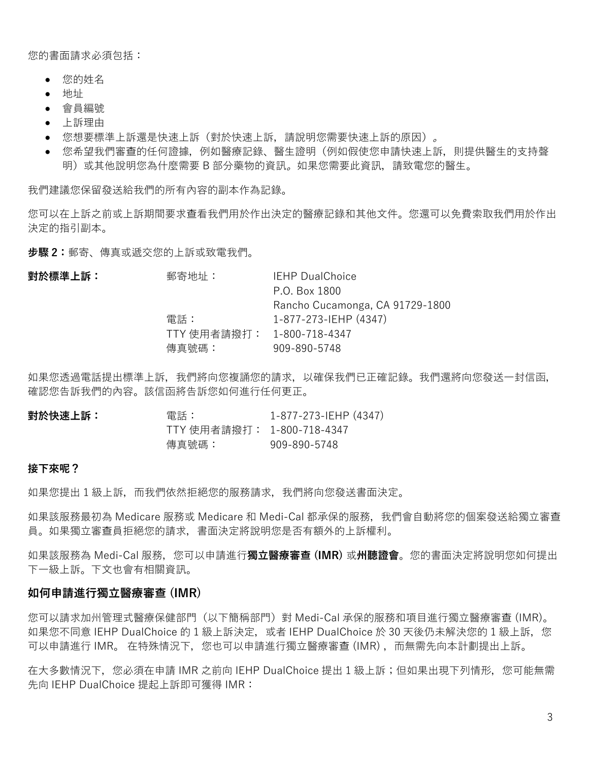您的書面請求必須包括:

- 您的姓名
- 地址
- 會員編號
- 上訴理由
- 您想要標準上訴還是快速上訴(對於快速上訴,請說明您需要快速上訴的原因)。
- 您希望我們審查的任何證據,例如醫療記錄、醫生證明(例如假使您申請快速上訴,則提供醫生的支持聲 明)或其他說明您為什麼需要 B 部分藥物的資訊。如果您需要此資訊,請致電您的醫生。

我們建議您保留發送給我們的所有內容的副本作為記錄。

您可以在上訴之前或上訴期間要求查看我們用於作出決定的醫療記錄和其他文件。您還可以免費索取我們用於作出 決定的指引副本。

**步驟 2:**郵寄、傳真或遞交您的上訴或致電我們。

| 對於標準上訴: | 郵寄地址:                      | <b>IEHP DualChoice</b>          |
|---------|----------------------------|---------------------------------|
|         |                            | P.O. Box 1800                   |
|         |                            | Rancho Cucamonga, CA 91729-1800 |
|         | 雷話:                        | 1-877-273-IEHP (4347)           |
|         | TTY 使用者請撥打: 1-800-718-4347 |                                 |
|         | 傳真號碼:                      | 909-890-5748                    |
|         |                            |                                 |

如果您透過電話提出標準上訴,我們將向您複誦您的請求,以確保我們已正確記錄。我們還將向您發送一封信函, 確認您告訴我們的內容。該信函將告訴您如何進行任何更正。

| 對於快速上訴: | 電話:                        | 1-877-273-IEHP (4347) |
|---------|----------------------------|-----------------------|
|         | TTY 使用者請撥打: 1-800-718-4347 |                       |
|         | 傳真號碼:                      | 909-890-5748          |

#### **接下來呢?**

如果您提出 1 級上訴, 而我們依然拒絕您的服務請求, 我們將向您發送書面決定。

如果該服務最初為 Medicare 服務或 Medicare 和 Medi-Cal 都承保的服務,我們會自動將您的個案發送給獨立審查 員。如果獨立審查員拒絕您的請求,書面決定將說明您是否有額外的上訴權利。

如果該服務為 Medi-Cal 服務,您可以申請進行**獨立醫療審查 (IMR)** 或**州聽證會**。您的書面決定將說明您如何提出 下一級上訴。下文也會有相關資訊。

#### **如何申請進行獨立醫療審查 (IMR)**

您可以請求加州管理式醫療保健部門(以下簡稱部門)對 Medi-Cal 承保的服務和項目進行獨立醫療審查 (IMR)。 如果您不同意 IEHP DualChoice 的 1 級上訴決定, 或者 IEHP DualChoice 於 30 天後仍未解決您的 1 級上訴, 您 可以申請進行 IMR。 在特殊情況下,您也可以申請進行獨立醫療審查 (IMR) ,而無需先向本計劃提出上訴。

在大多數情況下,您必須在申請 IMR 之前向 IEHP DualChoice 提出 1 級上訴;但如果出現下列情形,您可能無需 先向 IEHP DualChoice 提起上訴即可獲得 IMR: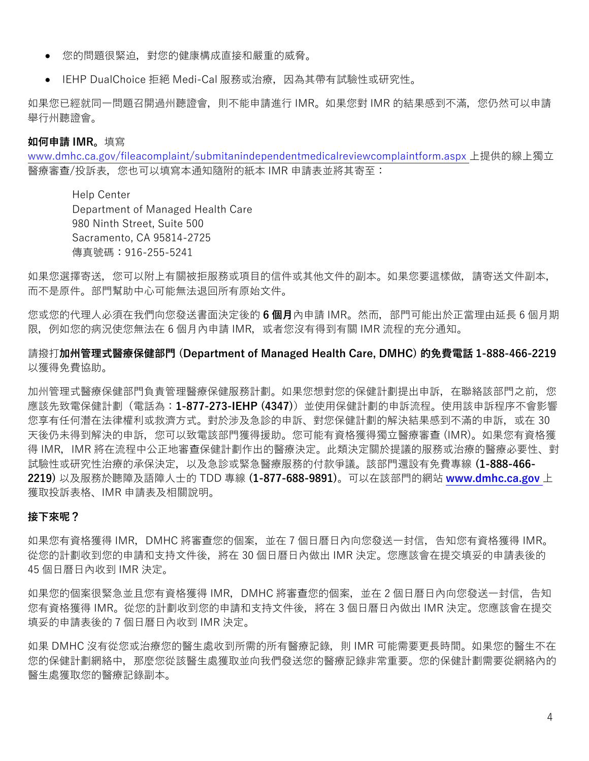- 您的問題很緊迫,對您的健康構成直接和嚴重的威脅。
- IEHP DualChoice 拒絕 Medi-Cal 服務或治療, 因為其帶有試驗性或研究性。

如果您已經就同一問題召開過州聽證會,則不能申請進行 IMR。如果您對 IMR 的結果感到不滿,您仍然可以申請 舉行州聽證會。

### **如何申請 IMR。**填寫

[www.dmhc.ca.gov/fileacomplaint/submitanindependentmedicalreviewcomplaintform.aspx](https://www.dmhc.ca.gov/fileacomplaint/submitanindependentmedicalreviewcomplaintform.aspx) 上提供的線上獨立 醫療審查/投訴表,您也可以填寫本通知隨附的紙本 IMR 申請表並將其寄至:

Help Center Department of Managed Health Care 980 Ninth Street, Suite 500 Sacramento, CA 95814-2725 傳真號碼:916-255-5241

如果您選擇寄送,您可以附上有關被拒服務或項目的信件或其他文件的副本。如果您要這樣做,請寄送文件副本, 而不是原件。部門幫助中心可能無法退回所有原始文件。

您或您的代理人必須在我們向您發送書面決定後的 **6 個月**內申請 IMR。然而,部門可能出於正當理由延長 6 個月期 限,例如您的病況使您無法在 6 個月內申請 IMR,或者您沒有得到有關 IMR 流程的充分通知。

請撥打**加州管理式醫療保健部門 (Department of Managed Health Care, DMHC) 的免費電話 1-888-466-2219** 以獲得免費協助。

加州管理式醫療保健部門負責管理醫療保健服務計劃。如果您想對您的保健計劃提出申訴,在聯絡該部門之前,您 應該先致電保健計劃(電話為:**1-877-273-IEHP (4347)**)並使用保健計劃的申訴流程。使用該申訴程序不會影響 您享有任何潛在法律權利或救濟方式。對於涉及急診的申訴、對您保健計劃的解決結果感到不滿的申訴,或在 30 天後仍未得到解決的申訴,您可以致電該部門獲得援助。您可能有資格獲得獨立醫療審查 (IMR)。如果您有資格獲 得 IMR, IMR 將在流程中公正地審查保健計劃作出的醫療決定。此類決定關於提議的服務或治療的醫療必要性、對 試驗性或研究性治療的承保決定,以及急診或緊急醫療服務的付款爭議。該部門還設有免費專線 **(1-888-466- 2219)** 以及服務於聽障及語障人士的 TDD 專線 **(1-877-688-9891)**。可以在該部門的網站 **[www.dmhc.ca.gov](http://www.dmhc.ca.gov/)** 上 獲取投訴表格、IMR 申請表及相關說明。

## **接下來呢?**

如果您有資格獲得 IMR,DMHC 將審查您的個案,並在 7 個日曆日內向您發送一封信,告知您有資格獲得 IMR。 從您的計劃收到您的申請和支持文件後, 將在 30 個日曆日內做出 IMR 決定。您應該會在提交填妥的申請表後的 45 個日曆日內收到 IMR 決定。

如果您的個案很緊急並且您有資格獲得 IMR,DMHC 將審查您的個案,並在 2 個日曆日內向您發送一封信,告知 您有資格獲得 IMR。從您的計劃收到您的申請和支持文件後,將在 3 個日曆日內做出 IMR 決定。您應該會在提交 填妥的申請表後的 7 個日曆日內收到 IMR 決定。

如果 DMHC 沒有從您或治療您的醫生處收到所需的所有醫療記錄, 則 IMR 可能需要更長時間。如果您的醫生不在 您的保健計劃網絡中,那麼您從該醫生處獲取並向我們發送您的醫療記錄非常重要。您的保健計劃需要從網絡內的 醫生處獲取您的醫療記錄副本。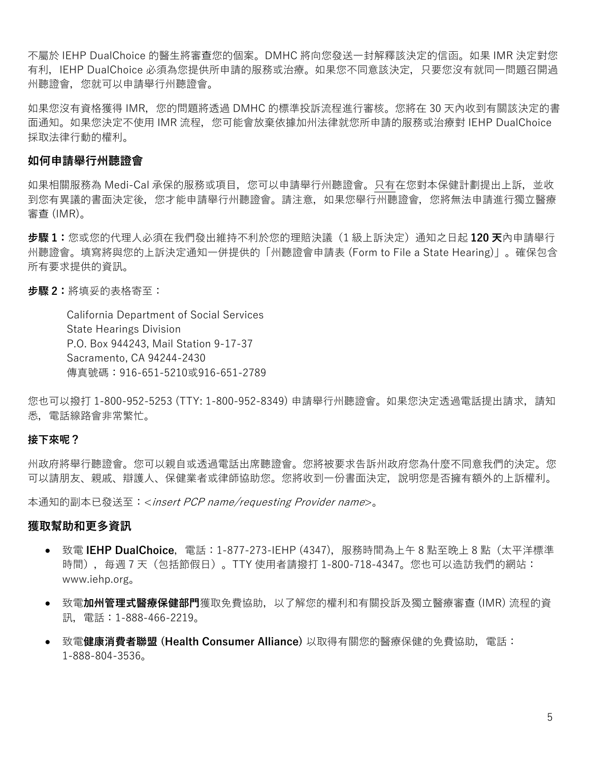不屬於 IEHP DualChoice 的醫生將審查您的個案。DMHC 將向您發送一封解釋該決定的信函。如果 IMR 決定對您 有利,IEHP DualChoice 必須為您提供所申請的服務或治療。如果您不同意該決定,只要您沒有就同一問題召開過 州聽證會,您就可以申請舉行州聽證會。

如果您沒有資格獲得 IMR,您的問題將透過 DMHC 的標準投訴流程進行審核。您將在 30 天內收到有關該決定的書 面通知。如果您決定不使用 IMR 流程,您可能會放棄依據加州法律就您所申請的服務或治療對 IEHP DualChoice 採取法律行動的權利。

## **如何申請舉行州聽證會**

如果相關服務為 Medi-Cal 承保的服務或項目,您可以申請舉行州聽證會。只有在您對本保健計劃提出上訴,並收 到您有異議的書面決定後,您才能申請舉行州聽證會。請注意,如果您舉行州聽證會,您將無法申請進行獨立醫療 審查 (IMR)。

**步驟 1:**您或您的代理人必須在我們發出維持不利於您的理賠決議(1 級上訴決定)通知之日起 **120 天**內申請舉行 州聽證會。填寫將與您的上訴決定通知一併提供的「州聽證會申請表 (Form to File a State Hearing)」。確保包含 所有要求提供的資訊。

**步驟 2:**將填妥的表格寄至:

California Department of Social Services State Hearings Division P.O. Box 944243, Mail Station 9-17-37 Sacramento, CA 94244-2430 傳真號碼:916-651-5210或916-651-2789

您也可以撥打 1-800-952-5253 (TTY: 1-800-952-8349) 申請舉行州聽證會。如果您決定透過電話提出請求,請知 悉,電話線路會非常繁忙。

#### **接下來呢?**

州政府將舉行聽證會。您可以親自或透過電話出席聽證會。您將被要求告訴州政府您為什麼不同意我們的決定。您 可以請朋友、親戚、辯護人、保健業者或律師協助您。您將收到一份書面決定,說明您是否擁有額外的上訴權利。

本通知的副本已發送至:<insert PCP name/requesting Provider name>。

#### **獲取幫助和更多資訊**

- 致電 **IEHP DualChoice**,電話:1-877-273-IEHP (4347),服務時間為上午 8 點至晚上 8 點(太平洋標準 時間),每週 7 天(包括節假日)。TTY 使用者請撥打 1-800-718-4347。您也可以造訪我們的網站: www.iehp.org。
- 致電**加州管理式醫療保健部門**獲取免費協助,以了解您的權利和有關投訴及獨立醫療審查 (IMR) 流程的資 訊,電話:1-888-466-2219。
- 致電**健康消費者聯盟 (Health Consumer Alliance)** 以取得有關您的醫療保健的免費協助,電話: 1-888-804-3536。